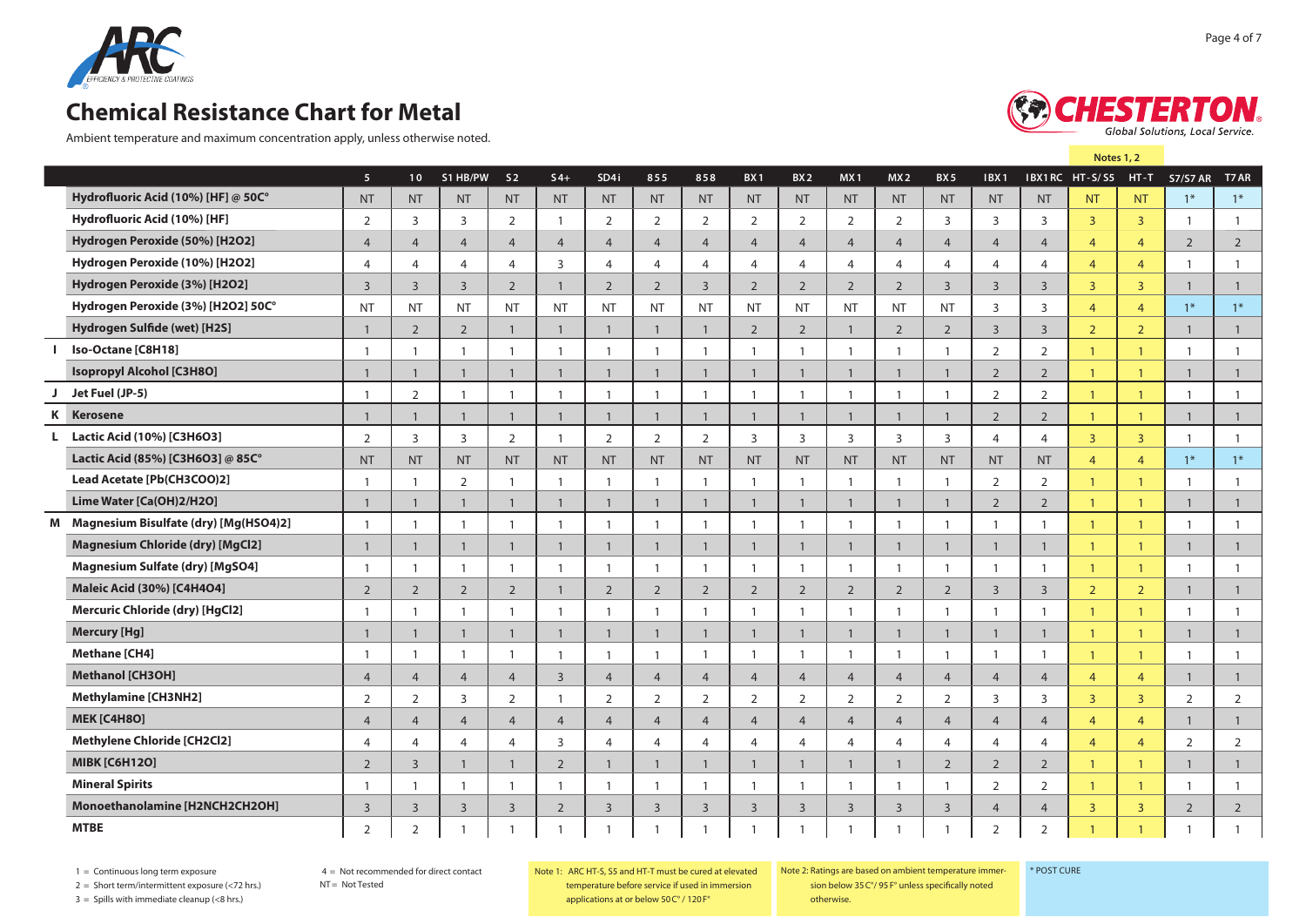

Ambient temperature and maximum concentration apply, unless otherwise noted.



**Note 1**

**5 10 S2 S4+ SD4i 855 858 BX1 BX2 MX1 MX2 BX 5 IBX1 IBX1RC HT-T T7AR Hydrofluoric Acid (10%) [HF] @ 50C°** NT NT NT NT NT NT NT NT NT NT NT NT NT NT NT NT NT 1\* 1\* **Hydrofluoric Acid (10%) [HF]** 2 3 3 3 2 1 2 2 2 2 2 2 2 3 3 3 3 1 1 **Hydrogen Peroxide (50%) [H2O2]** 4 4 4 4 4 4 4 4 4 4 4 4 4 4 4 4 4 2 2 **Hydrogen Peroxide (10%) [H2O2]** 4 4 4 4 3 4 4 4 4 4 4 4 4 4 4 4 4 1 1 **Hydrogen Peroxide (3%) [H2O2]** 3 3 3 2 1 2 2 3 2 2 2 2 3 3 3 3 3 1 1 **Hydrogen Peroxide (3%) [H2O2] 50C°** NT NT NT NT NT NT NT NT NT NT NT NT NT 3 3 4 4 1\* 1\* **Hydrogen Sulfide (wet) [H2S]** 1 2 2 1 1 1 1 1 2 2 1 2 2 3 3 2 2 1 1 **i Iso-Octane [C8H18]** 1 1 1 1 1 1 1 1 1 1 1 1 1 2 2 1 1 1 1 **Isopropyl Alcohol [C3H8O]** 1 1 1 1 1 1 1 1 1 1 1 1 1 2 2 1 1 1 1 **J Jet Fuel (JP-5)** 1 2 1 1 1 1 1 1 1 1 1 1 1 2 2 1 1 1 1 **k Kerosene** 1 1 1 1 1 1 1 1 1 1 1 1 1 2 2 1 1 1 1 **L Lactic Acid (10%) [C3H6O3]** 2 3 3 2 1 2 2 2 3 3 3 3 3 4 4 3 3 1 1 **Lactic Acid (85%) [C3H6O3] @ 85C°** NT NT NT NT NT NT NT NT NT NT NT NT NT NT NT 4 4 1\* 1\* **Lead Acetate [Pb(CH3COO)2]** 1 1 2 1 1 1 1 1 1 1 1 1 1 2 2 1 1 1 1 **Lime Water [Ca(OH)2/H2O]** 1 1 1 1 1 1 1 1 1 1 1 1 1 2 2 1 1 1 1 **m Magnesium Bisulfate (dry) [Mg(HSO4)2]** 1 1 1 1 1 1 1 1 1 1 1 1 1 1 1 1 1 1 1 **Magnesium Chloride (dry) [MgCl2]** 1 1 1 1 1 1 1 1 1 1 1 1 1 1 1 1 1 1 1 **Magnesium Sulfate (dry) [MgSO4]** 1 1 1 1 1 1 1 1 1 1 1 1 1 1 1 1 1 1 1 **Maleic Acid (30%) [C4H4O4]** 2 2 2 2 1 2 2 2 2 2 2 2 2 3 3 2 2 1 1 **Mercuric Chloride (dry) [HgCl2]** 1 1 1 1 1 1 1 1 1 1 1 1 1 1 1 1 1 1 1 **Mercury [Hg]** 1 1 1 1 1 1 1 1 1 1 1 1 1 1 1 1 1 1 1 **Methane [CH4]** 1 1 1 1 1 1 1 1 1 1 1 1 1 1 1 1 1 1 1 **Methanol [CH3OH]** 4 4 4 4 3 4 4 4 4 4 4 4 4 4 4 4 4 1 1 **Methylamine [CH3NH2]** 2 2 3 2 1 2 2 2 2 2 2 2 2 3 3 3 3 2 2 **MEK [C4H8O]** 4 4 4 4 4 4 4 4 4 4 4 4 4 4 4 4 4 1 1 **Methylene Chloride [CH2Cl2]** 4 4 4 4 3 4 4 4 4 4 4 4 4 4 4 4 4 2 2 **MIBK [C6H12O]** 2 3 1 1 2 1 1 1 1 1 1 1 2 2 2 1 1 1 1 **Mineral Spirits** 1 1 1 1 1 1 1 1 1 1 1 1 1 2 2 1 1 1 1 **Monoethanolamine [H2NCH2CH2OH]** 3 3 3 3 2 3 3 3 3 3 3 3 3 4 4 3 3 2 2 **MTBE** 2 2 1 1 1 1 1 1 1 1 1 1 1 2 2 1 1 1 1 **S1 HB/PW HT - S/ S5 S7/S7 AR**

 $1 =$  Continuous long term exposure

4 = Not recommended for direct contact

 $NT = Not$  Tested

2 = Short term/intermittent exposure (<72 hrs.)

 $3 =$  Spills with immediate cleanup (<8 hrs.)

Note 1: Ratings are based on ambient temperature immersion

\* Post Cure

below 35 C°/ 95 F° unless specifically noted otherwise.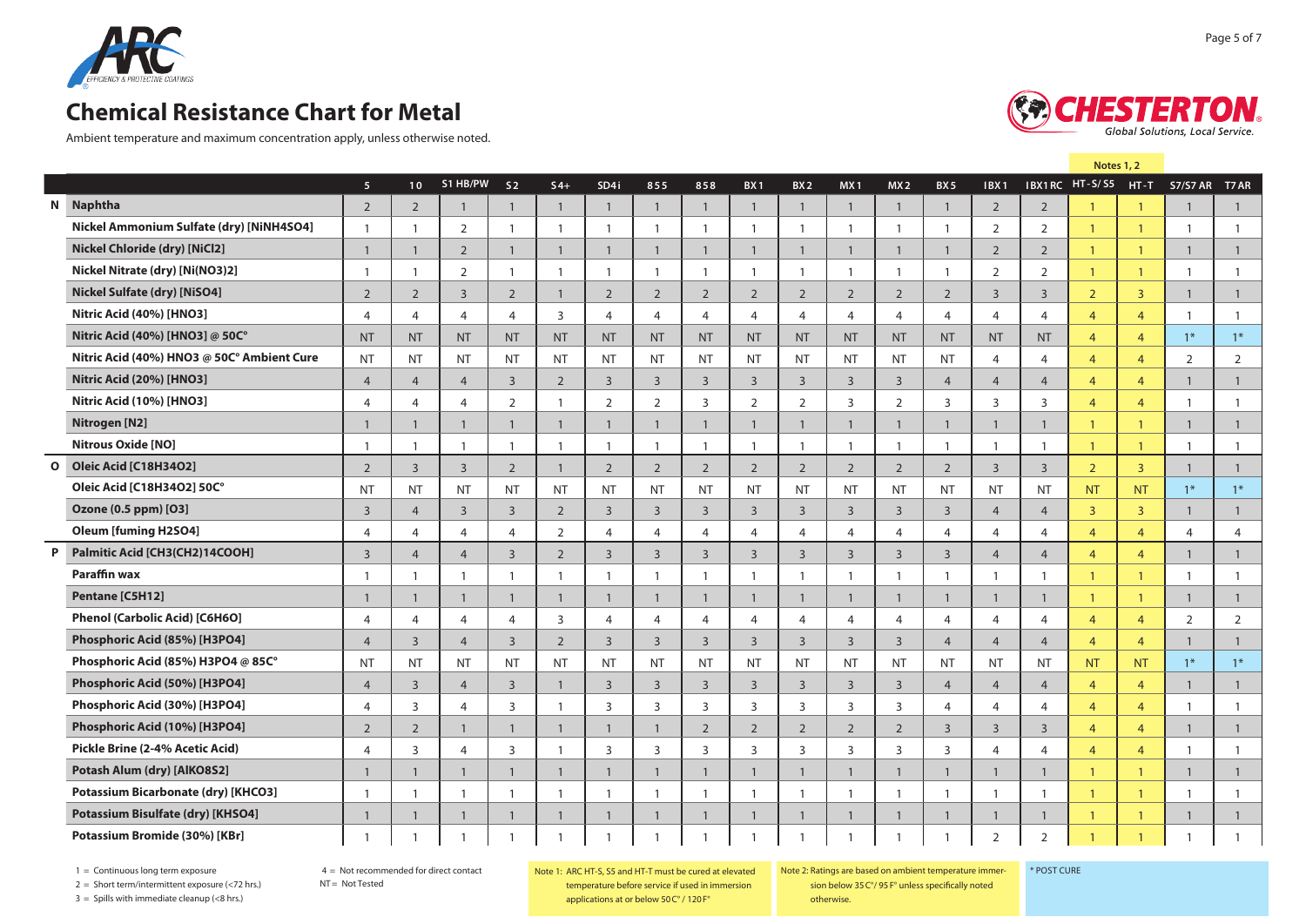

Ambient temperature and maximum concentration apply, unless otherwise noted.



|              |                                            |                |                          |                |                |                |                |                |                |                 |                 |                 |                |                |                  |                | Note 1         |                |                 |                |
|--------------|--------------------------------------------|----------------|--------------------------|----------------|----------------|----------------|----------------|----------------|----------------|-----------------|-----------------|-----------------|----------------|----------------|------------------|----------------|----------------|----------------|-----------------|----------------|
|              |                                            | 5 <sup>1</sup> | 10 <sup>°</sup>          | S1 HB/PW       | S <sub>2</sub> | $S4+$          | SD4i           | 855            | 858            | BX <sub>1</sub> | BX <sub>2</sub> | MX <sub>1</sub> | MX2            | BX 5           | IBX <sub>1</sub> |                | IBX1RC HT-S/S5 | $HT-T$         | <b>S7/S7 AR</b> | T7 AR          |
|              | N Naphtha                                  | $\overline{2}$ | $\overline{2}$           |                | $\overline{1}$ | $\overline{1}$ | $\overline{1}$ | $\overline{1}$ | $\overline{1}$ | $\overline{1}$  | $\overline{1}$  | $\overline{1}$  | $\overline{1}$ | $\overline{1}$ | 2                | $\overline{2}$ | $\mathbf{1}$   | $\mathbf{1}$   | $\mathbf{1}$    | $\mathbf{1}$   |
|              | Nickel Ammonium Sulfate (dry) [NiNH4SO4]   | $\overline{1}$ | $\mathbf{1}$             | $\overline{2}$ | $\overline{1}$ | -1             | $\mathbf{1}$   | $\overline{1}$ | $\mathbf{1}$   | $\mathbf{1}$    | $\mathbf{1}$    | -1              | $\overline{1}$ | $\overline{1}$ | 2                | 2              | $\mathbf{1}$   | $\mathbf{1}$   | $\mathbf{1}$    | $\overline{1}$ |
|              | <b>Nickel Chloride (dry) [NiCl2]</b>       | $\mathbf{1}$   | $\mathbf{1}$             | 2              | $\mathbf{1}$   | $\overline{1}$ | $\overline{1}$ | -1             | $\overline{1}$ | $\overline{1}$  | $\mathbf{1}$    | $\overline{1}$  | $\overline{1}$ | $\overline{1}$ | $\overline{2}$   | $\overline{2}$ | $\mathbf{1}$   | $\overline{1}$ | $\mathbf{1}$    | $\overline{1}$ |
|              | Nickel Nitrate (dry) [Ni(NO3)2]            | $\mathbf{1}$   | $\mathbf{1}$             | $\overline{2}$ | $\overline{1}$ | $\overline{1}$ | $\mathbf{1}$   | -1             | $\overline{1}$ | -1              | $\mathbf{1}$    | -1              | $\overline{1}$ | $\overline{1}$ | 2                | 2              | $\mathbf{1}$   | $\mathbf{1}$   | $\mathbf{1}$    | $\overline{1}$ |
|              | Nickel Sulfate (dry) [NiSO4]               | $\overline{2}$ | $\overline{2}$           | $\overline{3}$ | $\overline{2}$ | $\overline{1}$ | 2              | $\overline{2}$ | $\overline{2}$ | 2               | $\overline{2}$  | $\overline{2}$  | $\overline{2}$ | $\overline{2}$ | $\overline{3}$   | $\overline{3}$ | $\overline{2}$ | $\overline{3}$ | $\mathbf{1}$    | $\overline{1}$ |
|              | Nitric Acid (40%) [HNO3]                   | $\overline{4}$ | $\overline{4}$           | $\overline{4}$ | $\overline{4}$ | 3              | $\overline{4}$ | $\overline{4}$ | $\overline{4}$ | 4               | $\overline{4}$  | $\overline{4}$  | $\overline{4}$ | $\overline{4}$ | $\overline{4}$   | $\overline{4}$ | $\overline{4}$ | $\overline{4}$ | $\mathbf{1}$    | -1             |
|              | Nitric Acid (40%) [HNO3] @ 50C°            | <b>NT</b>      | <b>NT</b>                | <b>NT</b>      | <b>NT</b>      | <b>NT</b>      | <b>NT</b>      | <b>NT</b>      | <b>NT</b>      | <b>NT</b>       | <b>NT</b>       | <b>NT</b>       | <b>NT</b>      | <b>NT</b>      | <b>NT</b>        | <b>NT</b>      | $\overline{4}$ | $\overline{4}$ | $1*$            | $1*$           |
|              | Nitric Acid (40%) HNO3 @ 50C° Ambient Cure | <b>NT</b>      | <b>NT</b>                | NT             | <b>NT</b>      | <b>NT</b>      | <b>NT</b>      | <b>NT</b>      | <b>NT</b>      | <b>NT</b>       | <b>NT</b>       | <b>NT</b>       | <b>NT</b>      | <b>NT</b>      | 4                | $\overline{4}$ | $\overline{4}$ | $\overline{4}$ | 2               | $\overline{2}$ |
|              | Nitric Acid (20%) [HNO3]                   | $\overline{4}$ | $\overline{4}$           | $\overline{4}$ | $\overline{3}$ | $\overline{2}$ | $\overline{3}$ | $\overline{3}$ | $\overline{3}$ | 3               | $\overline{3}$  | $\overline{3}$  | $\overline{3}$ | $\overline{4}$ | $\overline{4}$   | $\overline{4}$ | $\overline{4}$ | $\overline{4}$ | $\mathbf{1}$    | $\overline{1}$ |
|              | Nitric Acid (10%) [HNO3]                   | $\overline{4}$ | $\overline{\mathcal{A}}$ | $\overline{4}$ | 2              | $\mathbf{1}$   | 2              | $\overline{2}$ | 3              | 2               | 2               | $\overline{3}$  | $\overline{2}$ | $\overline{3}$ | 3                | 3              | $\overline{4}$ | $\overline{4}$ | $\mathbf{1}$    |                |
|              | Nitrogen [N2]                              | $\mathbf{1}$   | $\mathbf{1}$             | $\overline{1}$ | $\overline{1}$ | $\overline{1}$ | $\overline{1}$ | $\overline{1}$ | $\overline{1}$ | $\overline{1}$  | $\overline{1}$  | $\mathbf{1}$    | $\mathbf{1}$   | $\overline{1}$ | $\mathbf{1}$     | $\overline{1}$ | $\mathbf{1}$   | $\overline{1}$ | $\mathbf{1}$    | $\overline{1}$ |
|              | <b>Nitrous Oxide [NO]</b>                  | $\overline{1}$ | $\mathbf{1}$             |                | $\overline{1}$ |                | $\mathbf{1}$   | $\overline{1}$ | $\mathbf{1}$   | $\overline{1}$  | $\overline{1}$  | -1              | $\overline{1}$ | $\overline{1}$ | $\overline{1}$   | $\overline{1}$ | $\mathbf{1}$   | $\mathbf{1}$   | $\mathbf{1}$    | $\overline{1}$ |
| $\mathbf{o}$ | Oleic Acid [C18H34O2]                      | $\overline{2}$ | $\overline{3}$           | $\overline{3}$ | 2              | $\overline{1}$ | 2              | $\overline{2}$ | $\overline{2}$ | $\overline{2}$  | $\overline{2}$  | $\overline{2}$  | $\overline{2}$ | $\overline{2}$ | $\overline{3}$   | $\overline{3}$ | $\overline{2}$ | $\overline{3}$ | $\mathbf{1}$    | $\mathbf{1}$   |
|              | Oleic Acid [C18H34O2] 50C°                 | <b>NT</b>      | <b>NT</b>                | <b>NT</b>      | <b>NT</b>      | <b>NT</b>      | <b>NT</b>      | <b>NT</b>      | <b>NT</b>      | <b>NT</b>       | <b>NT</b>       | <b>NT</b>       | <b>NT</b>      | <b>NT</b>      | <b>NT</b>        | <b>NT</b>      | <b>NT</b>      | <b>NT</b>      | $1*$            | $1*$           |
|              | Ozone (0.5 ppm) [O3]                       | $\overline{3}$ | $\overline{4}$           | $\overline{3}$ | $\overline{3}$ | $\overline{2}$ | 3              | $\overline{3}$ | $\overline{3}$ | $\overline{3}$  | $\overline{3}$  | $\overline{3}$  | $\overline{3}$ | $\overline{3}$ | $\overline{4}$   | $\overline{4}$ | $\overline{3}$ | $\overline{3}$ | $\mathbf{1}$    | $\overline{1}$ |
|              | <b>Oleum [fuming H2SO4]</b>                | $\overline{4}$ | $\overline{4}$           | $\overline{4}$ | $\overline{4}$ | 2              | $\overline{4}$ | $\overline{4}$ | 4              | $\overline{4}$  | $\overline{4}$  | $\overline{4}$  | 4              | $\overline{4}$ | $\overline{4}$   | $\overline{4}$ | $\overline{4}$ | $\overline{4}$ | 4               | $\overline{4}$ |
| P            | Palmitic Acid [CH3(CH2)14COOH]             | $\overline{3}$ | $\overline{4}$           | $\overline{4}$ | $\overline{3}$ | 2              | $\overline{3}$ | $\overline{3}$ | $\overline{3}$ | $\overline{3}$  | $\overline{3}$  | $\overline{3}$  | $\overline{3}$ | $\overline{3}$ | $\overline{4}$   | $\overline{4}$ | $\overline{4}$ | $\overline{4}$ | $\mathbf{1}$    | $\mathbf{1}$   |
|              | Paraffin wax                               | $\overline{1}$ | $\mathbf{1}$             | -1             | $\overline{1}$ | $\overline{1}$ | $\mathbf{1}$   | -1             | $\mathbf{1}$   | -1              | $\overline{1}$  | $\overline{1}$  | $\overline{1}$ | $\overline{1}$ | $\overline{1}$   | $\overline{1}$ | $\mathbf{1}$   | $\mathbf{1}$   | $\overline{1}$  | $\overline{1}$ |
|              | Pentane [C5H12]                            | $\mathbf{1}$   | 1                        |                | 1              | -1             | -1             | H              | -1             | $\mathbf{1}$    | -1              | $\overline{1}$  | $\overline{1}$ | $\overline{1}$ | $\overline{1}$   | -1             | $\mathbf{1}$   | $\mathbf{1}$   | $\mathbf{1}$    | $\overline{1}$ |
|              | Phenol (Carbolic Acid) [C6H6O]             | $\overline{4}$ | 4                        | $\overline{a}$ | $\overline{4}$ | 3              | $\overline{4}$ | $\overline{4}$ | $\overline{4}$ | 4               | 4               | $\overline{4}$  | $\overline{4}$ | $\overline{4}$ | $\overline{4}$   | $\overline{4}$ | $\overline{4}$ | $\overline{4}$ | $\overline{2}$  | 2              |
|              | Phosphoric Acid (85%) [H3PO4]              | $\overline{4}$ | $\overline{3}$           | $\overline{4}$ | $\overline{3}$ | 2              | $\overline{3}$ | $\overline{3}$ | $\overline{3}$ | $\overline{3}$  | $\overline{3}$  | $\overline{3}$  | $\overline{3}$ | $\overline{4}$ | $\overline{4}$   | $\overline{4}$ | $\overline{4}$ | $\overline{4}$ | $\mathbf{1}$    | $\overline{1}$ |
|              | Phosphoric Acid (85%) H3PO4 @ 85C°         | <b>NT</b>      | <b>NT</b>                | <b>NT</b>      | <b>NT</b>      | <b>NT</b>      | <b>NT</b>      | <b>NT</b>      | <b>NT</b>      | <b>NT</b>       | <b>NT</b>       | <b>NT</b>       | <b>NT</b>      | <b>NT</b>      | <b>NT</b>        | <b>NT</b>      | <b>NT</b>      | <b>NT</b>      | $1*$            | $1*$           |
|              | Phosphoric Acid (50%) [H3PO4]              | $\overline{4}$ | $\overline{3}$           | $\overline{4}$ | $\overline{3}$ | $\overline{1}$ | $\overline{3}$ | $\overline{3}$ | $\overline{3}$ | $\overline{3}$  | $\overline{3}$  | $\overline{3}$  | $\overline{3}$ | $\overline{4}$ | $\overline{4}$   | $\overline{4}$ | $\overline{4}$ | $\overline{4}$ | $\mathbf{1}$    | $\mathbf{1}$   |
|              | Phosphoric Acid (30%) [H3PO4]              | $\overline{4}$ | 3                        | $\overline{4}$ | $\overline{3}$ | $\overline{1}$ | 3              | 3              | 3              | 3               | 3               | 3               | $\overline{3}$ | $\overline{4}$ | $\overline{4}$   | $\overline{4}$ | $\overline{4}$ | $\overline{4}$ | $\overline{1}$  | $\overline{1}$ |
|              | Phosphoric Acid (10%) [H3PO4]              | $\overline{2}$ | $\overline{2}$           | 1              | $\mathbf{1}$   | $\overline{1}$ | $\mathbf{1}$   | -1             | $\overline{2}$ | 2               | $\overline{2}$  | $\overline{2}$  | $\overline{2}$ | $\overline{3}$ | $\overline{3}$   | $\overline{3}$ | $\overline{4}$ | $\overline{4}$ | $\mathbf{1}$    | $\overline{1}$ |
|              | Pickle Brine (2-4% Acetic Acid)            | $\overline{4}$ | 3                        | $\overline{4}$ | $\overline{3}$ | $\overline{1}$ | 3              | 3              | 3              | 3               | 3               | $\overline{3}$  | $\overline{3}$ | $\overline{3}$ | $\overline{4}$   | $\overline{4}$ | $\overline{4}$ | $\overline{4}$ | $\mathbf{1}$    | $\overline{1}$ |
|              | Potash Alum (dry) [AlKO8S2]                | $\mathbf{1}$   | $\mathbf{1}$             | $\mathbf{1}$   | $\mathbf{1}$   | $\overline{1}$ | $\overline{1}$ | $\mathbf{1}$   | $\mathbf{1}$   | $\overline{1}$  | $\mathbf{1}$    | $\mathbf{1}$    | $\mathbf{1}$   | $\overline{1}$ | $\overline{1}$   | $\overline{1}$ | $\mathbf{1}$   | $\overline{1}$ | $\mathbf{1}$    | $\overline{1}$ |
|              | <b>Potassium Bicarbonate (dry) [KHCO3]</b> | $\overline{1}$ | $\mathbf{1}$             |                | $\overline{1}$ | $\overline{1}$ | $\mathbf{1}$   | -1             | $\overline{1}$ | -1              | $\mathbf{1}$    | -1              | $\overline{1}$ | $\overline{1}$ | $\overline{1}$   | $\overline{1}$ | $\mathbf{1}$   | $\mathbf{1}$   | $\mathbf{1}$    | $\overline{1}$ |
|              | Potassium Bisulfate (dry) [KHSO4]          | $\mathbf{1}$   | $\mathbf{1}$             |                | $\mathbf{1}$   | -1             | $\overline{1}$ |                | $\mathbf{1}$   | -1              | $\mathbf{1}$    | -1              | $\mathbf{1}$   | $\overline{1}$ | $\overline{1}$   | -1             | $\mathbf{1}$   | $\overline{1}$ | $\mathbf{1}$    | $\mathbf{1}$   |
|              | Potassium Bromide (30%) [KBr]              | $\overline{1}$ | $\mathbf{1}$             |                | $\mathbf{1}$   |                |                |                | $\mathbf{1}$   |                 |                 |                 | $\mathbf{1}$   |                | 2                | 2              | $\overline{1}$ | $\mathbf{1}$   |                 |                |

1 = Continuous long term exposure

4 = Not recommended for direct contact

NT = Not Tested

 $2 =$  Short term/intermittent exposure (<72 hrs.)  $3 =$  Spills with immediate cleanup (<8 hrs.)

Note 1: Ratings are based on ambient temperature immersion below 35 C°/ 95 F° unless specifically noted otherwise.

\* Post Cure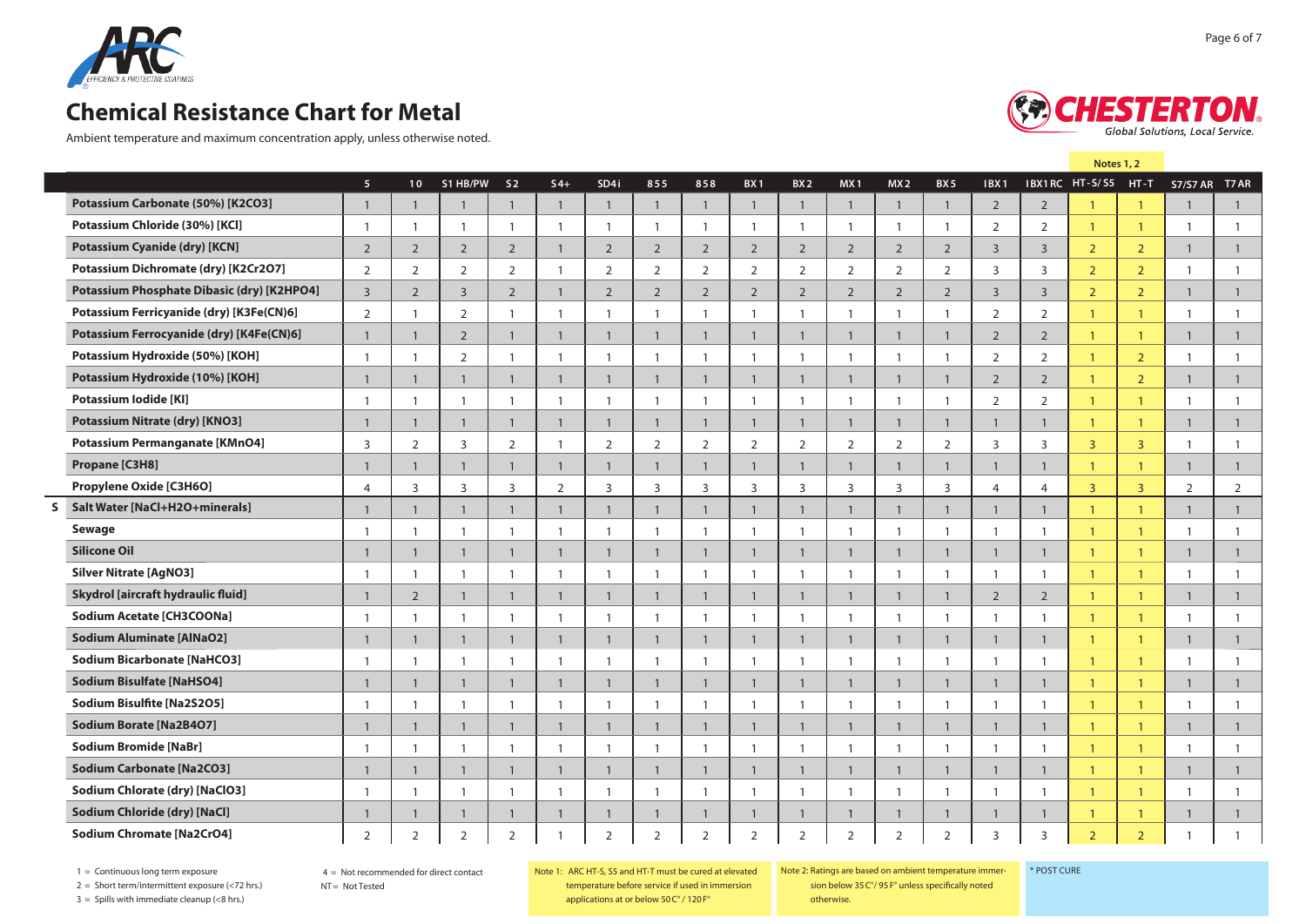

Ambient temperature and maximum concentration apply, unless otherwise noted.



|                                            |                |                 |                | Note 1                  |                |                |                |                |                 |                 |                         |                |                 |                  |                |                |                         |                 |                |
|--------------------------------------------|----------------|-----------------|----------------|-------------------------|----------------|----------------|----------------|----------------|-----------------|-----------------|-------------------------|----------------|-----------------|------------------|----------------|----------------|-------------------------|-----------------|----------------|
|                                            | 5 <sup>1</sup> | 10 <sup>°</sup> | S1 HB/PW       | S <sub>2</sub>          | $S4+$          | SD4i           | 855            | 858            | BX <sub>1</sub> | BX <sub>2</sub> | MX <sub>1</sub>         | MX2            | BX <sub>5</sub> | IBX <sub>1</sub> |                | IBX1RC HT-S/S5 | $HT-T$                  | <b>S7/S7 AR</b> | T7 AR          |
| Potassium Carbonate (50%) [K2CO3]          | $\overline{1}$ | $\overline{1}$  | $\overline{1}$ | $\overline{1}$          | $\overline{1}$ | $\mathbf{1}$   | $\mathbf{1}$   | $\mathbf{1}$   | $\mathbf{1}$    | $\mathbf{1}$    | $\overline{1}$          |                | $\mathbf{1}$    | $\overline{2}$   | $\overline{2}$ |                |                         | 1               | $\overline{1}$ |
| Potassium Chloride (30%) [KCl]             | $\mathbf{1}$   | $\overline{1}$  | $\overline{1}$ |                         | $\mathbf{1}$   | $\mathbf{1}$   | -1             |                |                 |                 | -1                      |                | $\mathbf{1}$    | 2                | $\overline{2}$ |                | $\mathbf{1}$            |                 | $\overline{1}$ |
| <b>Potassium Cyanide (dry) [KCN]</b>       | $\overline{2}$ | $\overline{2}$  | $\overline{2}$ | $\overline{2}$          | $\mathbf{1}$   | $\overline{2}$ | $\overline{2}$ | $\overline{2}$ | $\overline{2}$  | $\overline{2}$  | $\overline{2}$          | $\overline{2}$ | $\overline{2}$  | $\overline{3}$   | $\overline{3}$ | $\overline{2}$ | $\overline{2}$          | 1               | $\mathbf{1}$   |
| Potassium Dichromate (dry) [K2Cr2O7]       | 2              | $\overline{2}$  | $\overline{2}$ | $\overline{2}$          | $\mathbf{1}$   | $\overline{2}$ | $\overline{2}$ | $\overline{2}$ | $\overline{2}$  | $\overline{2}$  | 2                       | $\overline{2}$ | $\overline{2}$  | $\overline{3}$   | 3              | $\overline{2}$ | $\overline{2}$          |                 | $\overline{1}$ |
| Potassium Phosphate Dibasic (dry) [K2HPO4] | $\overline{3}$ | $\overline{2}$  | $\overline{3}$ | $\overline{2}$          | $\mathbf{1}$   | $\overline{2}$ | $\overline{2}$ | $2^{\circ}$    | $\overline{2}$  | $\overline{2}$  | $\overline{2}$          | $\overline{2}$ | $\overline{2}$  | 3                | $\overline{3}$ | $\overline{2}$ | $\overline{2}$          | $\mathbf{1}$    | $\mathbf{1}$   |
| Potassium Ferricyanide (dry) [K3Fe(CN)6]   | 2              | $\overline{1}$  | $\overline{2}$ | $\mathbf{1}$            | $\mathbf{1}$   | $\mathbf{1}$   | $\mathbf{1}$   | $\mathbf{1}$   | $\mathbf{1}$    |                 | -1                      | -1             | $\mathbf{1}$    | 2                | 2              | 1              | $\overline{1}$          |                 | -1             |
| Potassium Ferrocyanide (dry) [K4Fe(CN)6]   | $\mathbf{1}$   | $\overline{1}$  | $\overline{2}$ | $\mathbf{1}$            | $\mathbf{1}$   | $\mathbf{1}$   | $\mathbf{1}$   | $\mathbf{1}$   | $\mathbf{1}$    | $\blacksquare$  | $\overline{1}$          |                | $\mathbf{1}$    | $\overline{2}$   | $\overline{2}$ | $\mathbf{1}$   | $\overline{1}$          | $\overline{1}$  | $\overline{1}$ |
| Potassium Hydroxide (50%) [KOH]            | $\mathbf{1}$   | $\overline{1}$  | $\overline{2}$ | $\mathbf{1}$            | $\mathbf{1}$   | $\overline{1}$ | $\mathbf{1}$   | $\overline{1}$ | $\overline{1}$  | $\overline{1}$  | $\overline{1}$          | -1             | $\overline{1}$  | 2                | 2              | -1             | $\overline{2}$          | $\mathbf{1}$    | $\mathbf{1}$   |
| Potassium Hydroxide (10%) [KOH]            | $\overline{1}$ | $\overline{1}$  | $\overline{1}$ | $\overline{1}$          | $\mathbf{1}$   | $\mathbf{1}$   | $\mathbf{1}$   | $\mathbf{1}$   | $\mathbf{1}$    | $\overline{1}$  | $\overline{1}$          | $\mathbf{1}$   | $\mathbf{1}$    | 2                | $\overline{2}$ | $\mathbf{1}$   | $\overline{2}$          | $\overline{1}$  | $\overline{1}$ |
| Potassium lodide [KI]                      | $\overline{1}$ | $\overline{1}$  | $\mathbf{1}$   | $\overline{1}$          | $\overline{1}$ | $\mathbf{1}$   | $\mathbf{1}$   | -1             | $\overline{1}$  |                 | -1                      | -1             | $\mathbf{1}$    | 2                | 2              |                | $\mathbf{1}$            |                 | -1             |
| <b>Potassium Nitrate (dry) [KNO3]</b>      | $\overline{1}$ | $\overline{1}$  | $\overline{1}$ | $\overline{1}$          | $\mathbf{1}$   | $\mathbf{1}$   | $\mathbf{1}$   | $\mathbf{1}$   | $\mathbf{1}$    | $\mathbf{1}$    | $\mathbf{1}$            |                | -1              | 1                | $\mathbf{1}$   |                | $\overline{1}$          | -1              | $\overline{1}$ |
| <b>Potassium Permanganate [KMnO4]</b>      | $\overline{3}$ | $\overline{2}$  | 3              | $\overline{2}$          | $\mathbf{1}$   | $\overline{2}$ | $\overline{2}$ | $\overline{2}$ | 2               | $\overline{2}$  | 2                       | 2              | $\overline{2}$  | 3                | $\overline{3}$ | $\overline{3}$ | $\overline{3}$          |                 |                |
| Propane [C3H8]                             | $\overline{1}$ | $\overline{1}$  | $\overline{1}$ | $\overline{1}$          | $\mathbf{1}$   | $\mathbf{1}$   | $\mathbf{1}$   | $\mathbf{1}$   | $\mathbf{1}$    | $\overline{1}$  | $\overline{1}$          |                | $\overline{1}$  | $\mathbf{1}$     | $\overline{1}$ |                | $\overline{1}$          | $\overline{1}$  | $\overline{1}$ |
| Propylene Oxide [C3H6O]                    | $\overline{4}$ | 3               | 3              | 3                       | 2              | 3              | 3              | 3              | 3               | $\overline{3}$  | 3                       | 3              | 3               | 4                | $\overline{4}$ | $\overline{3}$ | $\overline{\mathbf{3}}$ | $\overline{2}$  | $\overline{2}$ |
| Salt Water [NaCl+H2O+minerals]             | $\overline{1}$ | $\mathbf{1}$    | $\mathbf{1}$   | $\mathbf{1}$            | $\mathbf{1}$   | $\mathbf{1}$   | $\mathbf{1}$   | $\mathbf{1}$   | $\mathbf{1}$    | $\overline{1}$  | $\overline{1}$          | $\mathbf{1}$   | $\overline{1}$  | $\mathbf{1}$     | $\overline{1}$ | $\mathbf{1}$   | $\overline{1}$          | $\overline{1}$  | $\overline{1}$ |
| Sewage                                     | $\overline{1}$ | $\overline{1}$  | $\mathbf{1}$   | $\mathbf{1}$            | $\mathbf{1}$   | $\mathbf{1}$   | $\mathbf{1}$   | $\mathbf{1}$   |                 | - 1             | -1                      | -1             | $\mathbf{1}$    | -1               | $\mathbf{1}$   | $\mathbf{1}$   | $\overline{1}$          | -1              | $\mathbf{1}$   |
| <b>Silicone Oil</b>                        | $\mathbf{1}$   | $\overline{1}$  | $\mathbf{1}$   | $\overline{1}$          | $\overline{1}$ | $\mathbf{1}$   | $\mathbf{1}$   | $\mathbf{1}$   | $\mathbf{1}$    | $\overline{1}$  | $\overline{1}$          | -1             | $\mathbf{1}$    | $\mathbf{1}$     | $\mathbf{1}$   | $\mathbf{1}$   | $\overline{1}$          | $\overline{1}$  | $\overline{1}$ |
| <b>Silver Nitrate [AgNO3]</b>              | $\overline{1}$ | $\overline{1}$  | $\mathbf{1}$   | $\mathbf{1}$            | $\overline{1}$ | $\overline{1}$ | $\mathbf{1}$   | $\overline{1}$ | $\overline{1}$  | $\overline{1}$  | $\overline{1}$          | -1             | $\overline{1}$  | $\mathbf{1}$     | $\overline{1}$ | -1             | $\overline{1}$          | $\mathbf{1}$    | $\overline{1}$ |
| Skydrol [aircraft hydraulic fluid]         | $\mathbf{1}$   | $\overline{2}$  | $\mathbf{1}$   | $\overline{1}$          | $\overline{1}$ | $\mathbf{1}$   | $\mathbf{1}$   | $\mathbf{1}$   | $\mathbf{1}$    | $\overline{1}$  | $\overline{1}$          | $\mathbf{1}$   | $\mathbf{1}$    | $\overline{2}$   | $\overline{2}$ |                | $\overline{1}$          | $\overline{1}$  | $\overline{1}$ |
| Sodium Acetate [CH3COONa]                  | $\mathbf{1}$   | $\overline{1}$  | $\mathbf{1}$   | $\overline{\mathbf{1}}$ | $\mathbf{1}$   | $\mathbf{1}$   | $\mathbf{1}$   | -1             |                 |                 | -1                      |                | $\mathbf{1}$    | 1                | $\mathbf{1}$   |                | $\overline{1}$          |                 | $\overline{1}$ |
| <b>Sodium Aluminate [AlNaO2]</b>           | $\mathbf{1}$   | $\overline{1}$  | $\mathbf{1}$   | $\overline{1}$          | $\overline{1}$ | $\mathbf{1}$   | $\mathbf{1}$   | $\overline{1}$ | $\mathbf{1}$    | $\mathbf{1}$    | $\overline{1}$          |                | $\mathbf{1}$    | $\mathbf{1}$     | $\mathbf{1}$   |                | $\mathbf{1}$            | -1              | $\overline{1}$ |
| <b>Sodium Bicarbonate [NaHCO3]</b>         | $\overline{1}$ | $\overline{1}$  | $\mathbf{1}$   | $\mathbf{1}$            | $\mathbf{1}$   | $\overline{1}$ | $\mathbf{1}$   |                |                 | -1              | -1                      |                | $\overline{1}$  | $\mathbf{1}$     | $\mathbf{1}$   |                | $\overline{1}$          |                 | $\overline{1}$ |
| <b>Sodium Bisulfate [NaHSO4]</b>           | $\mathbf{1}$   | $\overline{1}$  | $\overline{1}$ | $\overline{1}$          | $\mathbf{1}$   | $\mathbf{1}$   | $\mathbf{1}$   | $\mathbf{1}$   | $\mathbf{1}$    | $\mathbf{1}$    | $\mathbf{1}$            |                | $\mathbf{1}$    | $\mathbf{1}$     | $\mathbf{1}$   |                | $\overline{1}$          | $\mathbf{1}$    | $\overline{1}$ |
| <b>Sodium Bisulfite [Na2S2O5]</b>          | $\overline{1}$ | $\overline{1}$  | $\mathbf{1}$   | $\mathbf{1}$            | $\mathbf{1}$   | $\mathbf{1}$   | $\mathbf{1}$   |                |                 |                 | -1                      |                | $\overline{1}$  | $\mathbf{1}$     | $\mathbf{1}$   |                | $\overline{1}$          |                 | $\mathbf{1}$   |
| Sodium Borate [Na2B4O7]                    | $\overline{1}$ | $\overline{1}$  | $\overline{1}$ | $\overline{1}$          | $\mathbf{1}$   | $\mathbf{1}$   | $\mathbf{1}$   | $\mathbf{1}$   | $\mathbf{1}$    | $\overline{1}$  | $\overline{1}$          |                | $\mathbf{1}$    | $\mathbf{1}$     | $\mathbf{1}$   | $\mathbf{1}$   | $\overline{1}$          | $\mathbf{1}$    | $\overline{1}$ |
| <b>Sodium Bromide [NaBr]</b>               | $\overline{1}$ | $\overline{1}$  | $\overline{1}$ | $\overline{1}$          | $\overline{1}$ | $\overline{1}$ | $\mathbf{1}$   | $\mathbf{1}$   | $\overline{1}$  | -1              | $\overline{\mathbf{1}}$ | -1             | $\overline{1}$  | $\mathbf{1}$     | $\mathbf{1}$   | -1             | $\overline{1}$          | -1              | $\mathbf{1}$   |
| <b>Sodium Carbonate [Na2CO3]</b>           | $\overline{1}$ | $\overline{1}$  | $\overline{1}$ | $\overline{1}$          | $\mathbf{1}$   | $\mathbf{1}$   | $\mathbf{1}$   | $\mathbf{1}$   | $\mathbf{1}$    | $\overline{1}$  | $\overline{1}$          | $\mathbf{1}$   | $\mathbf{1}$    | $\mathbf{1}$     | $\mathbf{1}$   | -1             | $\overline{1}$          | 1.              | $\overline{1}$ |
| Sodium Chlorate (dry) [NaClO3]             | $\overline{1}$ | $\overline{1}$  | $\overline{1}$ | -1                      | $\mathbf{1}$   | $\mathbf{1}$   | $\mathbf{1}$   |                |                 |                 |                         |                | $\mathbf{1}$    |                  | -1             |                | $\mathbf{1}$            |                 | $\mathbf{1}$   |
| Sodium Chloride (dry) [NaCl]               |                |                 |                |                         |                |                |                |                |                 |                 |                         |                |                 |                  |                |                |                         |                 |                |

**Sodium Chromate [Na2CrO4]** 2 2 2 2 1 2 2 2 2 2 2 2 2 3 3 2 2 1 1

1 = Continuous long term exposure

2 = Short term/intermittent exposure (<72 hrs.)

 $3 =$  Spills with immediate cleanup (<8 hrs.)

Note 1: Ratings are based on ambient temperature immersion below 35 C°/ 95 F° unless specifically noted otherwise.

\* Post Cure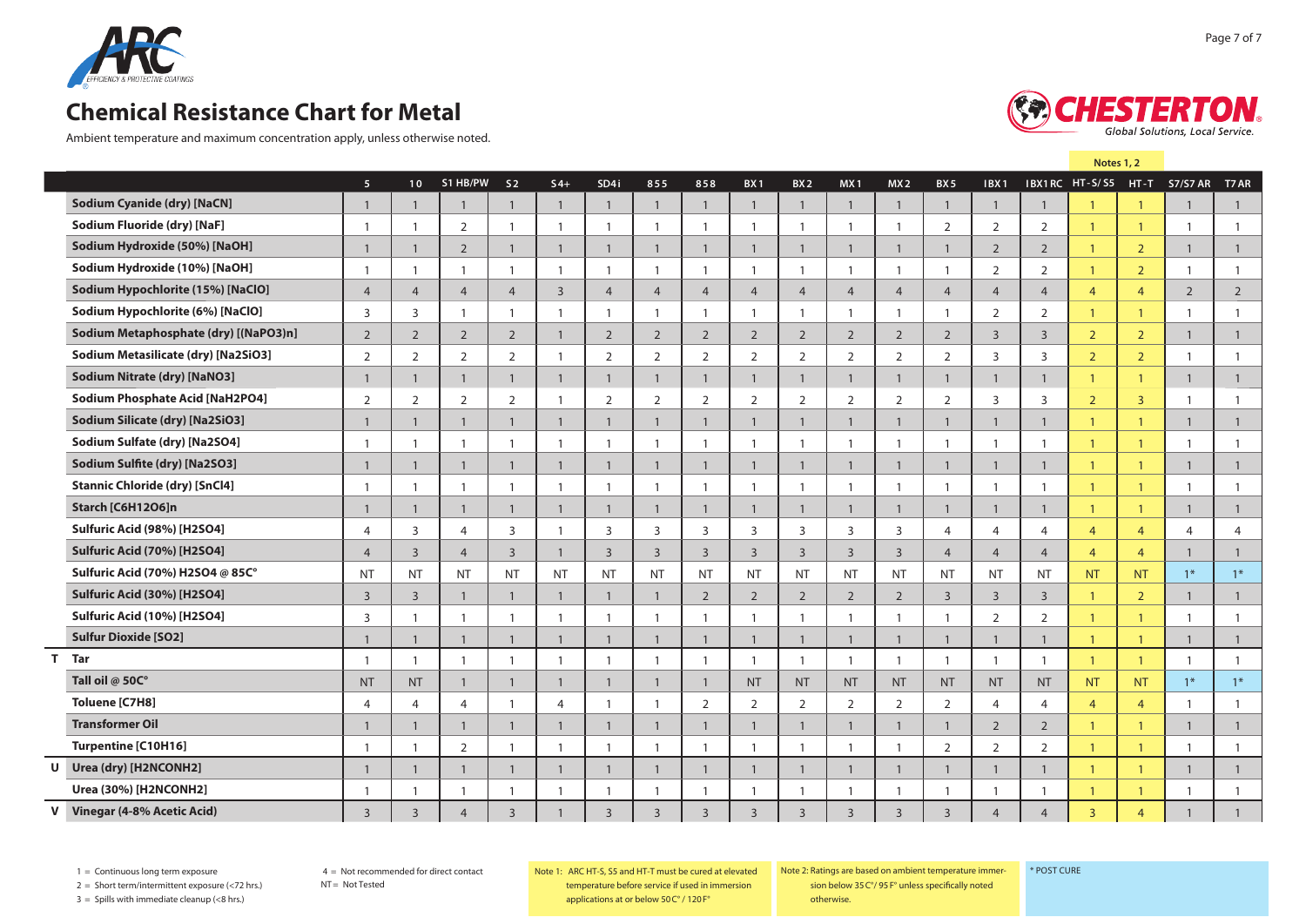

Ambient temperature and maximum concentration apply, unless otherwise noted.



**Note 1**

|                                       | 5 <sup>1</sup> | 10 <sup>°</sup>          | S1 HB/PW       | S <sub>2</sub> | $S4+$          | SD4i           | 855                      | 858            | BX <sub>1</sub> | BX <sub>2</sub> | MX <sub>1</sub> | MX2                      | BX <sub>5</sub> | IBX1           |                | IBX1RC HT-S/S5 |                | HT-T S7/S7 AR  | T7 AR          |
|---------------------------------------|----------------|--------------------------|----------------|----------------|----------------|----------------|--------------------------|----------------|-----------------|-----------------|-----------------|--------------------------|-----------------|----------------|----------------|----------------|----------------|----------------|----------------|
| <b>Sodium Cyanide (dry) [NaCN]</b>    | $\overline{1}$ | $\overline{1}$           |                | $\overline{1}$ | $\overline{1}$ | $\overline{1}$ | $\overline{1}$           | $\overline{1}$ | $\mathbf{1}$    | $\overline{1}$  | $\overline{1}$  | $\overline{1}$           | $\overline{1}$  | $\overline{1}$ | $\mathbf{1}$   |                | $\mathbf{1}$   | 1              | $\mathbf{1}$   |
| Sodium Fluoride (dry) [NaF]           | $\overline{1}$ | $\overline{1}$           | 2              | $\overline{1}$ | $\overline{1}$ | $\overline{1}$ | -1                       | $\overline{1}$ | $\overline{1}$  | $\overline{1}$  | $\overline{1}$  | $\overline{1}$           | 2               | 2              | 2              | $\overline{1}$ | $\overline{1}$ | $\overline{1}$ | $\overline{1}$ |
| Sodium Hydroxide (50%) [NaOH]         | $\overline{1}$ | $\overline{1}$           | $\overline{2}$ | $\mathbf{1}$   | $\overline{1}$ | $\mathbf{1}$   | $\mathbf{1}$             | $\mathbf{1}$   | $\mathbf{1}$    | $\mathbf{1}$    | $\overline{1}$  | $\mathbf{1}$             | $\mathbf{1}$    | $\overline{2}$ | $\overline{2}$ | $\overline{1}$ | $\overline{2}$ | $\mathbf{1}$   | $\mathbf{1}$   |
| Sodium Hydroxide (10%) [NaOH]         | $\overline{1}$ | $\overline{1}$           | $\overline{1}$ | $\overline{1}$ | $\overline{1}$ | $\overline{1}$ | $\overline{1}$           | $\overline{1}$ | $\overline{1}$  | $\overline{1}$  | $\overline{1}$  | $\overline{\phantom{0}}$ | $\overline{1}$  | 2              | 2              | $\overline{1}$ | $\overline{2}$ | $\overline{1}$ | $\overline{1}$ |
| Sodium Hypochlorite (15%) [NaClO]     | $\overline{4}$ | $\overline{4}$           | $\overline{4}$ | $\overline{4}$ | $\overline{3}$ | $\overline{4}$ | $\overline{4}$           | $\overline{4}$ | $\overline{4}$  | $\overline{4}$  | $\overline{4}$  | $\overline{4}$           | $\overline{4}$  | $\overline{4}$ | $\overline{4}$ | $\overline{4}$ | $\overline{4}$ | $\overline{2}$ | $\overline{2}$ |
| Sodium Hypochlorite (6%) [NaClO]      | $\overline{3}$ | 3                        | $\overline{1}$ | $\overline{1}$ | $\overline{1}$ | $\overline{1}$ | $\overline{\phantom{0}}$ | $\overline{1}$ | $\overline{1}$  | $\overline{1}$  | $\overline{1}$  | $\overline{1}$           | $\overline{1}$  | 2              | $\overline{2}$ | $\overline{1}$ | $\overline{1}$ | $\overline{1}$ | $\overline{1}$ |
| Sodium Metaphosphate (dry) [(NaPO3)n] | 2              | $\overline{2}$           | $\overline{2}$ | $\overline{2}$ | 1              | 2              | 2                        | $\overline{2}$ | $\overline{2}$  | 2               | 2               | $\overline{2}$           | $\overline{2}$  | $\overline{3}$ | $\overline{3}$ | $\overline{2}$ | $\overline{2}$ | $\mathbf{1}$   | $\mathbf{1}$   |
| Sodium Metasilicate (dry) [Na2SiO3]   | 2              | $\overline{2}$           | 2              | 2              | -1             | 2              | 2                        | $\overline{2}$ | 2               | 2               | 2               | $\overline{2}$           | 2               | 3              | $\overline{3}$ | $\overline{2}$ | $\overline{2}$ | $\overline{1}$ | $\overline{1}$ |
| <b>Sodium Nitrate (dry) [NaNO3]</b>   | $\mathbf{1}$   | $\mathbf{1}$             | $\mathbf{1}$   | $\mathbf{1}$   | $\mathbf{1}$   | $\mathbf{1}$   | $\mathbf{1}$             | $\mathbf{1}$   | $\mathbf{1}$    | $\mathbf{1}$    | $\mathbf{1}$    | $\mathbf{1}$             | $\mathbf{1}$    | $\mathbf{1}$   | $\mathbf{1}$   | $\overline{1}$ | $\overline{1}$ | $\mathbf{1}$   | $\overline{1}$ |
| Sodium Phosphate Acid [NaH2PO4]       | 2              | $\overline{2}$           | 2              | 2              | -1             | 2              | 2                        | $\overline{2}$ | 2               | 2               | 2               | $\overline{2}$           | $\overline{2}$  | $\overline{3}$ | $\overline{3}$ | $\overline{2}$ | $\overline{3}$ | $\overline{1}$ | - 1            |
| Sodium Silicate (dry) [Na2SiO3]       | $\overline{1}$ | $\overline{1}$           | $\mathbf{1}$   | $\mathbf{1}$   | $\mathbf{1}$   | $\mathbf{1}$   | $\mathbf{1}$             | $\mathbf{1}$   | $\mathbf{1}$    | $\mathbf{1}$    | $\mathbf{1}$    | $\overline{1}$           | $\mathbf{1}$    | $\mathbf{1}$   | $\mathbf{1}$   | $\overline{1}$ | $\overline{1}$ | $\mathbf{1}$   | $\mathbf{1}$   |
| Sodium Sulfate (dry) [Na2SO4]         | $\overline{1}$ | $\overline{\phantom{0}}$ | $\overline{1}$ | $\overline{1}$ | -1             | $\overline{1}$ | -1                       | $\overline{1}$ | $\overline{1}$  | $\overline{1}$  | $\overline{1}$  | -1                       | $\overline{1}$  | $\overline{1}$ | $\overline{1}$ | $\overline{1}$ | $\overline{1}$ | $\overline{1}$ |                |
| Sodium Sulfite (dry) [Na2SO3]         | $\overline{1}$ | $\overline{1}$           | $\overline{1}$ | $\overline{1}$ | $\overline{1}$ | $\overline{1}$ | $\overline{1}$           | $\overline{1}$ | $\mathbf{1}$    | $\overline{1}$  | $\overline{1}$  | $\overline{1}$           | $\overline{1}$  | $\overline{1}$ | $\mathbf{1}$   | $\overline{1}$ | $\overline{1}$ | $\mathbf{1}$   | $\overline{1}$ |
| <b>Stannic Chloride (dry) [SnCl4]</b> | $\overline{1}$ | $\overline{1}$           | $\overline{1}$ | $\overline{1}$ | -1             | $\overline{1}$ | -1                       | $\overline{1}$ | $\overline{1}$  | $\overline{1}$  | $\overline{1}$  | $\overline{1}$           | $\overline{1}$  | $\overline{1}$ | $\overline{1}$ | $\overline{1}$ | $\overline{1}$ | $\overline{1}$ |                |
| Starch [C6H12O6]n                     | $\overline{1}$ | $\overline{1}$           | $\overline{1}$ | $\overline{1}$ | $\overline{1}$ | $\overline{1}$ | $\overline{1}$           | $\overline{1}$ | $\overline{1}$  | $\overline{1}$  | $\overline{1}$  | $\overline{1}$           | $\overline{1}$  | $\overline{1}$ | $\overline{1}$ | $\overline{1}$ | $\overline{1}$ | $\mathbf{1}$   | $\mathbf{1}$   |
| Sulfuric Acid (98%) [H2SO4]           | $\overline{4}$ | $\overline{3}$           | $\overline{4}$ | $\overline{3}$ | - 1            | $\overline{3}$ | $\overline{3}$           | $\overline{3}$ | $\overline{3}$  | $\overline{3}$  | $\overline{3}$  | $\overline{3}$           | $\overline{4}$  | $\overline{4}$ | $\overline{4}$ | $\overline{4}$ | $\overline{4}$ | $\overline{4}$ | $\overline{4}$ |
| Sulfuric Acid (70%) [H2SO4]           | $\overline{4}$ | $\overline{3}$           | $\overline{4}$ | $\overline{3}$ | $\overline{1}$ | $\overline{3}$ | $\overline{3}$           | $\overline{3}$ | $\overline{3}$  | $\overline{3}$  | $\overline{3}$  | $\overline{3}$           | $\overline{4}$  | $\overline{4}$ | $\overline{4}$ | $\overline{4}$ | $\overline{4}$ | $\mathbf{1}$   | $\mathbf{1}$   |
| Sulfuric Acid (70%) H2SO4 @ 85C°      | <b>NT</b>      | <b>NT</b>                | <b>NT</b>      | <b>NT</b>      | <b>NT</b>      | <b>NT</b>      | <b>NT</b>                | <b>NT</b>      | <b>NT</b>       | <b>NT</b>       | <b>NT</b>       | <b>NT</b>                | <b>NT</b>       | <b>NT</b>      | <b>NT</b>      | <b>NT</b>      | <b>NT</b>      | $1*$           | $1*$           |
| Sulfuric Acid (30%) [H2SO4]           | $\overline{3}$ | $\overline{3}$           | $\overline{1}$ | $\overline{1}$ | $\overline{1}$ | $\overline{1}$ | $\overline{1}$           | $\overline{2}$ | 2               | $\overline{2}$  | 2               | $\overline{2}$           | $\overline{3}$  | $\overline{3}$ | $\overline{3}$ | $\overline{1}$ | $\overline{2}$ | $\mathbf{1}$   | $\overline{1}$ |
| Sulfuric Acid (10%) [H2SO4]           | $\overline{3}$ |                          |                | $\overline{1}$ |                | -1             |                          | -1             |                 | -1              |                 | $\mathbf{1}$             |                 | 2              | $\overline{2}$ | $\mathbf{1}$   |                |                |                |
| <b>Sulfur Dioxide [SO2]</b>           |                |                          |                | 1              |                | $\overline{1}$ |                          | $\mathbf{1}$   |                 | $\mathbf{1}$    |                 |                          |                 |                |                | $\mathbf{1}$   |                | 1              |                |
| T Tar                                 | $\overline{1}$ | $\overline{1}$           |                | $\overline{1}$ | -1             | $\overline{1}$ |                          | $\overline{1}$ | $\overline{1}$  | $\overline{1}$  | $\overline{1}$  | $\overline{\phantom{0}}$ | $\overline{1}$  | $\overline{1}$ | $\overline{1}$ | $\overline{1}$ | $\overline{1}$ | $\overline{1}$ | $\mathbf{1}$   |
| Tall oil @ 50C°                       | <b>NT</b>      | <b>NT</b>                | $\mathbf{1}$   | $\mathbf{1}$   | $\mathbf{1}$   | $\mathbf{1}$   | -1                       | $\overline{1}$ | <b>NT</b>       | <b>NT</b>       | <b>NT</b>       | <b>NT</b>                | <b>NT</b>       | <b>NT</b>      | <b>NT</b>      | <b>NT</b>      | <b>NT</b>      | $1*$           | $1*$           |
| Toluene [C7H8]                        | $\overline{4}$ | $\overline{4}$           | $\overline{4}$ |                | $\overline{4}$ |                |                          | $\overline{2}$ | $\overline{2}$  | 2               | $\overline{2}$  | 2                        | $\overline{2}$  | $\overline{4}$ | $\overline{4}$ | $\overline{4}$ | $\overline{4}$ |                |                |
| <b>Transformer Oil</b>                | $\overline{1}$ | $\overline{1}$           | 1              | $\mathbf{1}$   | -1             | $\mathbf{1}$   | -1                       | $\mathbf{1}$   | 1               | $\overline{1}$  | $\mathbf{1}$    | $\overline{1}$           | $\mathbf{1}$    | $\overline{2}$ | $\overline{2}$ | $\overline{1}$ |                | $\mathbf{1}$   | $\mathbf{1}$   |
| Turpentine [C10H16]                   |                |                          | 2              |                |                |                |                          |                |                 |                 |                 |                          | 2               | 2              | $\overline{2}$ |                |                |                | $\overline{1}$ |
| Urea (dry) [H2NCONH2]<br>U            | $\overline{1}$ | $\overline{1}$           | -1             | $\mathbf{1}$   | $\overline{1}$ | $\mathbf{1}$   | $\overline{1}$           | $\mathbf{1}$   | $\overline{1}$  | $\mathbf{1}$    | $\overline{1}$  | $\overline{1}$           | $\mathbf{1}$    | $\mathbf{1}$   | $\mathbf{1}$   | $\overline{1}$ | $\overline{1}$ | $\mathbf{1}$   | $\mathbf{1}$   |
| Urea (30%) [H2NCONH2]                 |                |                          |                |                |                |                |                          |                |                 |                 |                 |                          |                 |                |                |                |                |                |                |
| V Vinegar (4-8% Acetic Acid)          | $\overline{3}$ | $\overline{3}$           | $\overline{4}$ | $\overline{3}$ |                | $\overline{3}$ | $\overline{3}$           | $\overline{3}$ | $\overline{3}$  | $\overline{3}$  | $\overline{3}$  | $\overline{3}$           | $\overline{3}$  | $\overline{4}$ | $\overline{4}$ | $\overline{3}$ | $\overline{4}$ |                |                |

1 = Continuous long term exposure

NT = Not Tested

2 = Short term/intermittent exposure (<72 hrs.)

 $3 =$  Spills with immediate cleanup (<8 hrs.)

Note 1: Ratings are based on ambient temperature immersion

\* Post Cure

below 35 C°/ 95 F° unless specifically noted otherwise.